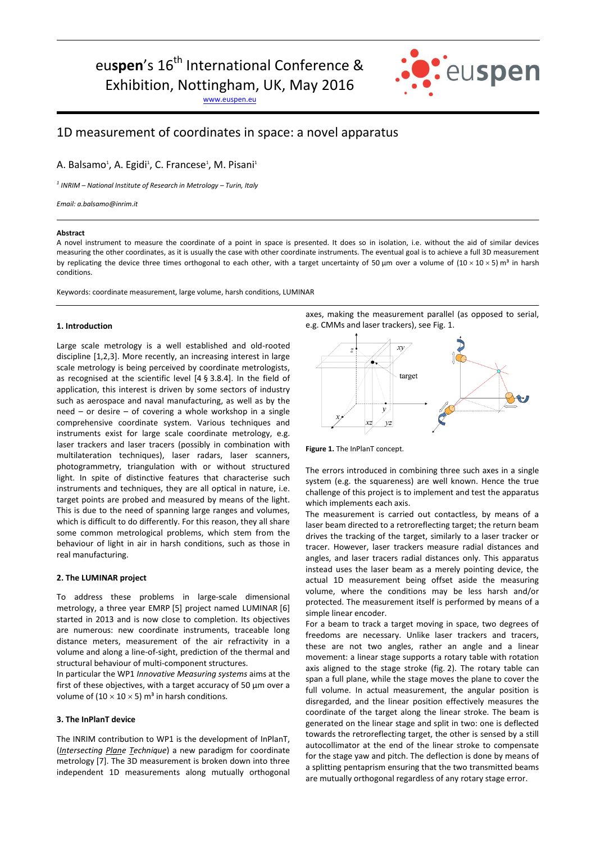# eu**spen**'s 16<sup>th</sup> International Conference &

Exhibition, Nottingham, UK, May 2016

[www.euspen.eu](http://www.euspen.eu/)



# 1D measurement of coordinates in space: a novel apparatus

A. Balsamo<sup>1</sup>, A. Egidi<sup>1</sup>, C. Francese<sup>1</sup>, M. Pisani<sup>1</sup>

*1 INRIM – National Institute of Research in Metrology – Turin, Italy*

*Email: a.balsamo@inrim.it*

#### **Abstract**

A novel instrument to measure the coordinate of a point in space is presented. It does so in isolation, i.e. without the aid of similar devices measuring the other coordinates, as it is usually the case with other coordinate instruments. The eventual goal is to achieve a full 3D measurement by replicating the device three times orthogonal to each other, with a target uncertainty of 50 µm over a volume of (10 × 10 × 5) m<sup>3</sup> in harsh conditions.

Keywords: coordinate measurement, large volume, harsh conditions, LUMINAR

## **1. Introduction**

Large scale metrology is a well established and old-rooted discipline [1,2,3]. More recently, an increasing interest in large scale metrology is being perceived by coordinate metrologists, as recognised at the scientific level [4 § 3.8.4]. In the field of application, this interest is driven by some sectors of industry such as aerospace and naval manufacturing, as well as by the need – or desire – of covering a whole workshop in a single comprehensive coordinate system. Various techniques and instruments exist for large scale coordinate metrology, e.g. laser trackers and laser tracers (possibly in combination with multilateration techniques), laser radars, laser scanners, photogrammetry, triangulation with or without structured light. In spite of distinctive features that characterise such instruments and techniques, they are all optical in nature, i.e. target points are probed and measured by means of the light. This is due to the need of spanning large ranges and volumes, which is difficult to do differently. For this reason, they all share some common metrological problems, which stem from the behaviour of light in air in harsh conditions, such as those in real manufacturing.

### **2. The LUMINAR project**

To address these problems in large-scale dimensional metrology, a three year EMRP [5] project named LUMINAR [6] started in 2013 and is now close to completion. Its objectives are numerous: new coordinate instruments, traceable long distance meters, measurement of the air refractivity in a volume and along a line-of-sight, prediction of the thermal and structural behaviour of multi-component structures.

In particular the WP1 *Innovative Measuring systems* aims at the first of these objectives, with a target accuracy of 50 µm over a volume of (10  $\times$  10  $\times$  5) m<sup>3</sup> in harsh conditions.

# **3. The InPlanT device**

The INRIM contribution to WP1 is the development of InPlanT, (*Intersecting Plane Technique*) a new paradigm for coordinate metrology [7]. The 3D measurement is broken down into three independent 1D measurements along mutually orthogonal axes, making the measurement parallel (as opposed to serial, e.g. CMMs and laser trackers), see Fig. 1.



**Figure 1.** The InPlanT concept.

The errors introduced in combining three such axes in a single system (e.g. the squareness) are well known. Hence the true challenge of this project is to implement and test the apparatus which implements each axis.

The measurement is carried out contactless, by means of a laser beam directed to a retroreflecting target; the return beam drives the tracking of the target, similarly to a laser tracker or tracer. However, laser trackers measure radial distances and angles, and laser tracers radial distances only. This apparatus instead uses the laser beam as a merely pointing device, the actual 1D measurement being offset aside the measuring volume, where the conditions may be less harsh and/or protected. The measurement itself is performed by means of a simple linear encoder.

For a beam to track a target moving in space, two degrees of freedoms are necessary. Unlike laser trackers and tracers, these are not two angles, rather an angle and a linear movement: a linear stage supports a rotary table with rotation axis aligned to the stage stroke (fig. 2). The rotary table can span a full plane, while the stage moves the plane to cover the full volume. In actual measurement, the angular position is disregarded, and the linear position effectively measures the coordinate of the target along the linear stroke. The beam is generated on the linear stage and split in two: one is deflected towards the retroreflecting target, the other is sensed by a still autocollimator at the end of the linear stroke to compensate for the stage yaw and pitch. The deflection is done by means of a splitting pentaprism ensuring that the two transmitted beams are mutually orthogonal regardless of any rotary stage error.